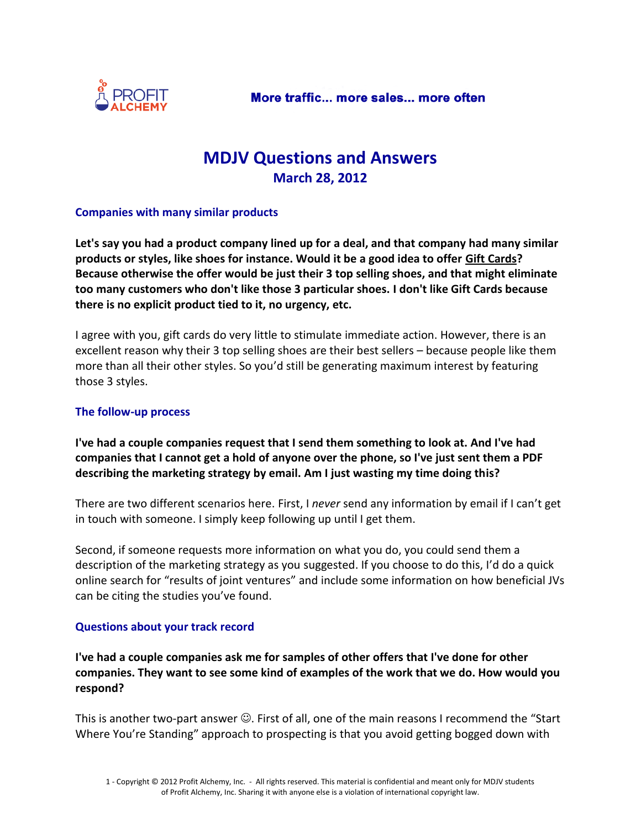

## **MDJV Questions and Answers March 28, 2012**

## **Companies with many similar products**

**Let's say you had a product company lined up for a deal, and that company had many similar products or styles, like shoes for instance. Would it be a good idea to offer Gift Cards? Because otherwise the offer would be just their 3 top selling shoes, and that might eliminate too many customers who don't like those 3 particular shoes. I don't like Gift Cards because there is no explicit product tied to it, no urgency, etc.**

I agree with you, gift cards do very little to stimulate immediate action. However, there is an excellent reason why their 3 top selling shoes are their best sellers – because people like them more than all their other styles. So you'd still be generating maximum interest by featuring those 3 styles.

## **The follow-up process**

**I've had a couple companies request that I send them something to look at. And I've had companies that I cannot get a hold of anyone over the phone, so I've just sent them a PDF describing the marketing strategy by email. Am I just wasting my time doing this?**

There are two different scenarios here. First, I *never* send any information by email if I can't get in touch with someone. I simply keep following up until I get them.

Second, if someone requests more information on what you do, you could send them a description of the marketing strategy as you suggested. If you choose to do this, I'd do a quick online search for "results of joint ventures" and include some information on how beneficial JVs can be citing the studies you've found.

## **Questions about your track record**

**I've had a couple companies ask me for samples of other offers that I've done for other companies. They want to see some kind of examples of the work that we do. How would you respond?**

This is another two-part answer  $\odot$ . First of all, one of the main reasons I recommend the "Start Where You're Standing" approach to prospecting is that you avoid getting bogged down with